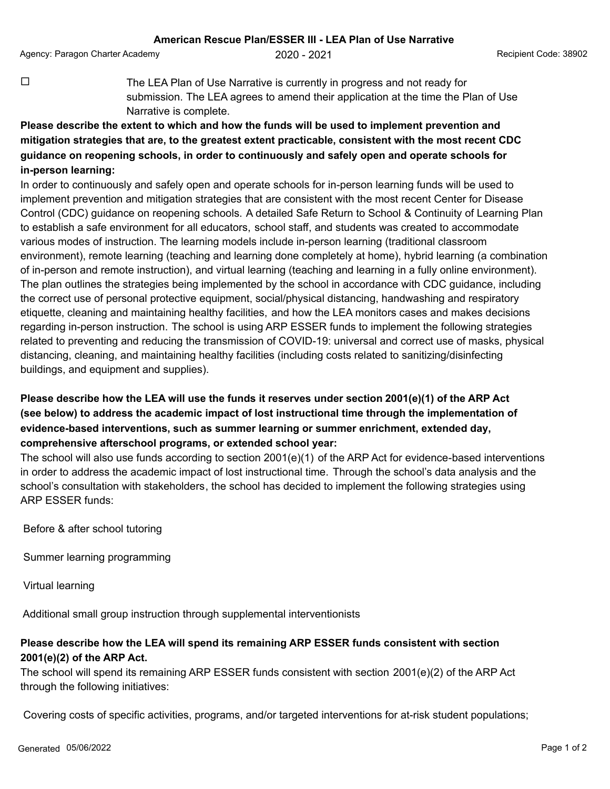Agency: Paragon Charter Academy  $2020 - 2021$  Recipient Code: 38902

**¨** The LEA Plan of Use Narrative is currently in progress and not ready for submission. The LEA agrees to amend their application at the time the Plan of Use Narrative is complete.

## **Please describe the extent to which and how the funds will be used to implement prevention and mitigation strategies that are, to the greatest extent practicable, consistent with the most recent CDC guidance on reopening schools, in order to continuously and safely open and operate schools for in-person learning:**

In order to continuously and safely open and operate schools for in-person learning funds will be used to implement prevention and mitigation strategies that are consistent with the most recent Center for Disease Control (CDC) guidance on reopening schools. A detailed Safe Return to School & Continuity of Learning Plan to establish a safe environment for all educators, school staff, and students was created to accommodate various modes of instruction. The learning models include in-person learning (traditional classroom environment), remote learning (teaching and learning done completely at home), hybrid learning (a combination of in-person and remote instruction), and virtual learning (teaching and learning in a fully online environment). The plan outlines the strategies being implemented by the school in accordance with CDC guidance, including the correct use of personal protective equipment, social/physical distancing, handwashing and respiratory etiquette, cleaning and maintaining healthy facilities, and how the LEA monitors cases and makes decisions regarding in-person instruction. The school is using ARP ESSER funds to implement the following strategies related to preventing and reducing the transmission of COVID-19: universal and correct use of masks, physical distancing, cleaning, and maintaining healthy facilities (including costs related to sanitizing/disinfecting buildings, and equipment and supplies).

## **Please describe how the LEA will use the funds it reserves under section 2001(e)(1) of the ARP Act (see below) to address the academic impact of lost instructional time through the implementation of evidence-based interventions, such as summer learning or summer enrichment, extended day, comprehensive afterschool programs, or extended school year:**

The school will also use funds according to section 2001(e)(1) of the ARP Act for evidence-based interventions in order to address the academic impact of lost instructional time. Through the school's data analysis and the school's consultation with stakeholders, the school has decided to implement the following strategies using ARP ESSER funds:

Before & after school tutoring

Summer learning programming

Virtual learning

Additional small group instruction through supplemental interventionists

## **Please describe how the LEA will spend its remaining ARP ESSER funds consistent with section 2001(e)(2) of the ARP Act.**

The school will spend its remaining ARP ESSER funds consistent with section 2001(e)(2) of the ARP Act through the following initiatives:

Covering costs of specific activities, programs, and/or targeted interventions for at-risk student populations;